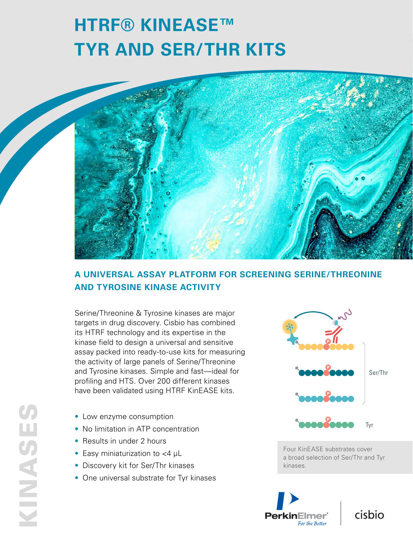# **HTRF® KINEASE™ TYR AND SER/THR KITS**



## **A UNIVERSAL ASSAY PLATFORM FOR SCREENING SERINE/THREONINE AND TYROSINE KINASE ACTIVITY**

Serine/Threonine & Tyrosine kinases are major targets in drug discovery. Cisbio has combined its HTRF technology and its expertise in the kinase field to design a universal and sensitive assay packed into ready-to-use kits for measuring the activity of large panels of Serine/Threonine and Tyrosine kinases. Simple and fast—ideal for profiling and HTS. Over 200 different kinases have been validated using HTRF KinEASE kits.

- Low enzyme consumption
- No limitation in ATP concentration
- Results in under 2 hours
- Easy miniaturization to <4 μL
- Discovery kit for Ser/Thr kinases
- One universal substrate for Tyr kinases



Four KinEASE substrates cover a broad selection of Ser/Thr and Tyr kinases.